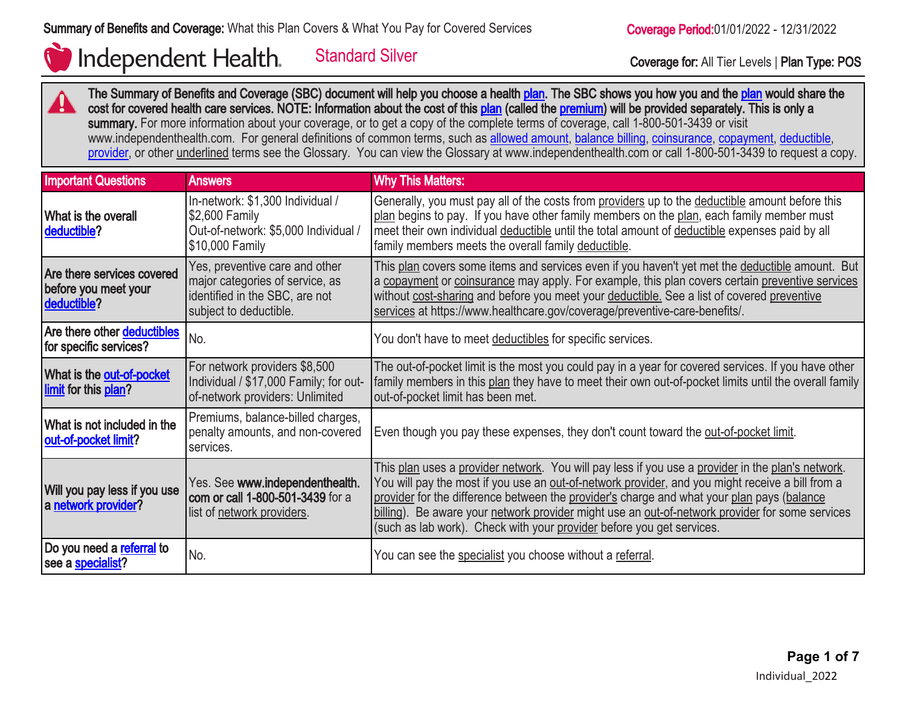ZU.

# Independent Health.

Standard Silver Coverage for: All Tier Levels | Plan Type: POS

The Summary of Benefits and Coverage (SBC) document will help you choose a health [plan](http://www.healthcare.gov/sbc-glossary/#plan). The SBC shows you how you and the plan would share the cost for covered health care services. NOTE: Information about the cost of this [plan](http://www.healthcare.gov/sbc-glossary/#plan) (called the [premium](http://www.healthcare.gov/sbc-glossary/#premium)) will be provided separately. This is only a summary. For more information about your coverage, or to get a copy of the complete terms of coverage, call 1-800-501-3439 or visit www.independenthealth.com. For general definitions of common terms, such as [allowed amount](http://www.healthcare.gov/sbc-glossary/#allowed-amount), [balance billing](http://www.healthcare.gov/sbc-glossary/#balance-billing), [coinsurance,](http://www.healthcare.gov/sbc-glossary/#coinsurance) [copayment](http://www.healthcare.gov/sbc-glossary/#copayment), [deductible](http://www.healthcare.gov/sbc-glossary/#deductible), [provider](http://www.healthcare.gov/sbc-glossary/#provider), or other underlined terms see the Glossary. You can view the Glossary at www.independenthealth.com or call 1-800-501-3439 to request a copy.

| <b>Important Questions</b>                                        | <b>Answers</b>                                                                                                                | <b>Why This Matters:</b>                                                                                                                                                                                                                                                                                                                                                                                                                                                        |
|-------------------------------------------------------------------|-------------------------------------------------------------------------------------------------------------------------------|---------------------------------------------------------------------------------------------------------------------------------------------------------------------------------------------------------------------------------------------------------------------------------------------------------------------------------------------------------------------------------------------------------------------------------------------------------------------------------|
| What is the overall<br>deductible?                                | In-network: \$1,300 Individual /<br>\$2,600 Family<br>Out-of-network: \$5,000 Individual /<br>\$10,000 Family                 | Generally, you must pay all of the costs from providers up to the deductible amount before this<br>plan begins to pay. If you have other family members on the plan, each family member must<br>meet their own individual deductible until the total amount of deductible expenses paid by all<br>family members meets the overall family deductible.                                                                                                                           |
| Are there services covered<br>before you meet your<br>deductible? | Yes, preventive care and other<br>major categories of service, as<br>identified in the SBC, are not<br>subject to deductible. | This plan covers some items and services even if you haven't yet met the deductible amount. But<br>a copayment or coinsurance may apply. For example, this plan covers certain preventive services<br>without cost-sharing and before you meet your deductible. See a list of covered preventive<br>services at https://www.healthcare.gov/coverage/preventive-care-benefits/.                                                                                                  |
| Are there other deductibles<br>for specific services?             | No.                                                                                                                           | You don't have to meet deductibles for specific services.                                                                                                                                                                                                                                                                                                                                                                                                                       |
| What is the out-of-pocket<br>limit for this plan?                 | For network providers \$8,500<br>Individual / \$17,000 Family; for out-<br>of-network providers: Unlimited                    | The out-of-pocket limit is the most you could pay in a year for covered services. If you have other<br>family members in this plan they have to meet their own out-of-pocket limits until the overall family<br>out-of-pocket limit has been met.                                                                                                                                                                                                                               |
| What is not included in the<br>out-of-pocket limit?               | Premiums, balance-billed charges,<br>penalty amounts, and non-covered<br>services.                                            | Even though you pay these expenses, they don't count toward the out-of-pocket limit.                                                                                                                                                                                                                                                                                                                                                                                            |
| Will you pay less if you use<br>a network provider?               | Yes. See www.independenthealth.<br>com or call 1-800-501-3439 for a<br>list of network providers.                             | This plan uses a provider network. You will pay less if you use a provider in the plan's network.<br>You will pay the most if you use an out-of-network provider, and you might receive a bill from a<br>provider for the difference between the provider's charge and what your plan pays (balance<br>billing). Be aware your network provider might use an out-of-network provider for some services<br>(such as lab work). Check with your provider before you get services. |
| Do you need a referral to<br>see a <b>specialist?</b>             | No.                                                                                                                           | You can see the specialist you choose without a referral.                                                                                                                                                                                                                                                                                                                                                                                                                       |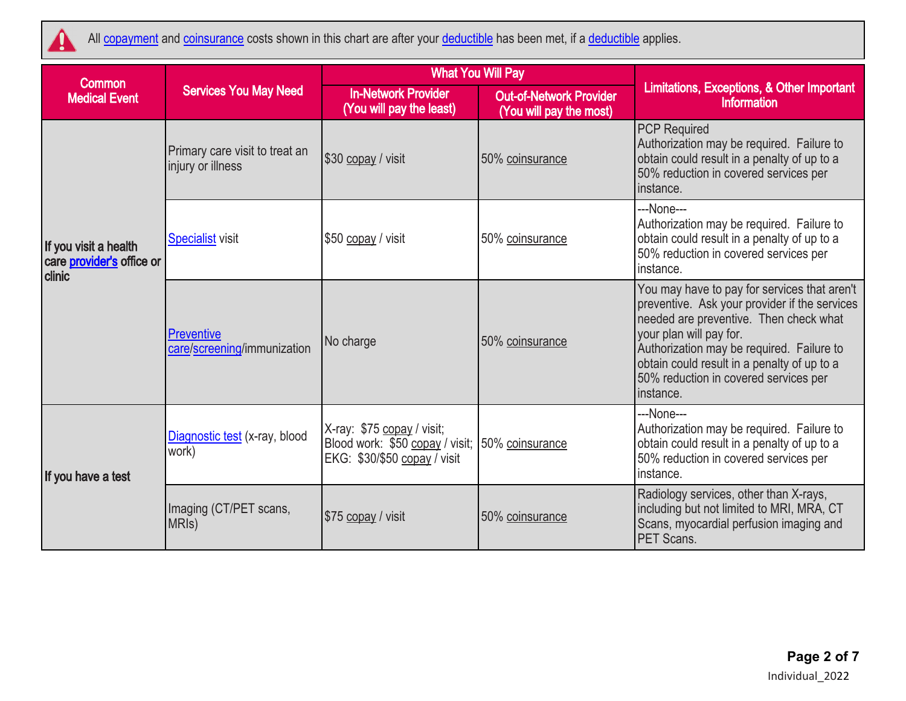

All [copayment](http://www.healthcare.gov/sbc-glossary/#copayment) and [coinsurance](http://www.healthcare.gov/sbc-glossary/#coinsurance) costs shown in this chart are after your [deductible](http://www.healthcare.gov/sbc-glossary/#deductible) has been met, if a deductible applies.

| <b>Common</b>                                                |                                                     | <b>What You Will Pay</b>                                                                      |                                                           | Limitations, Exceptions, & Other Important<br><b>Information</b>                                                                                                                                                                                                                                                     |  |
|--------------------------------------------------------------|-----------------------------------------------------|-----------------------------------------------------------------------------------------------|-----------------------------------------------------------|----------------------------------------------------------------------------------------------------------------------------------------------------------------------------------------------------------------------------------------------------------------------------------------------------------------------|--|
| <b>Medical Event</b>                                         | <b>Services You May Need</b>                        | <b>In-Network Provider</b><br>(You will pay the least)                                        | <b>Out-of-Network Provider</b><br>(You will pay the most) |                                                                                                                                                                                                                                                                                                                      |  |
|                                                              | Primary care visit to treat an<br>injury or illness | \$30 copay / visit                                                                            | 50% coinsurance                                           | <b>PCP Required</b><br>Authorization may be required. Failure to<br>obtain could result in a penalty of up to a<br>50% reduction in covered services per<br>instance.                                                                                                                                                |  |
| If you visit a health<br>care provider's office or<br>clinic | <b>Specialist visit</b>                             | \$50 copay / visit                                                                            | 50% coinsurance                                           | ---None---<br>Authorization may be required. Failure to<br>obtain could result in a penalty of up to a<br>50% reduction in covered services per<br>instance.                                                                                                                                                         |  |
|                                                              | Preventive<br>care/screening/immunization           | No charge                                                                                     | 50% coinsurance                                           | You may have to pay for services that aren't<br>preventive. Ask your provider if the services<br>needed are preventive. Then check what<br>your plan will pay for.<br>Authorization may be required. Failure to<br>obtain could result in a penalty of up to a<br>50% reduction in covered services per<br>instance. |  |
| If you have a test                                           | Diagnostic test (x-ray, blood<br>work)              | X-ray: \$75 copay / visit;<br>Blood work: \$50 copay / visit;<br>EKG: \$30/\$50 copay / visit | 50% coinsurance                                           | ---None---<br>Authorization may be required. Failure to<br>obtain could result in a penalty of up to a<br>50% reduction in covered services per<br>instance.                                                                                                                                                         |  |
|                                                              | Imaging (CT/PET scans,<br>MRI <sub>s</sub> )        | \$75 copay / visit                                                                            | 50% coinsurance                                           | Radiology services, other than X-rays,<br>including but not limited to MRI, MRA, CT<br>Scans, myocardial perfusion imaging and<br>PET Scans.                                                                                                                                                                         |  |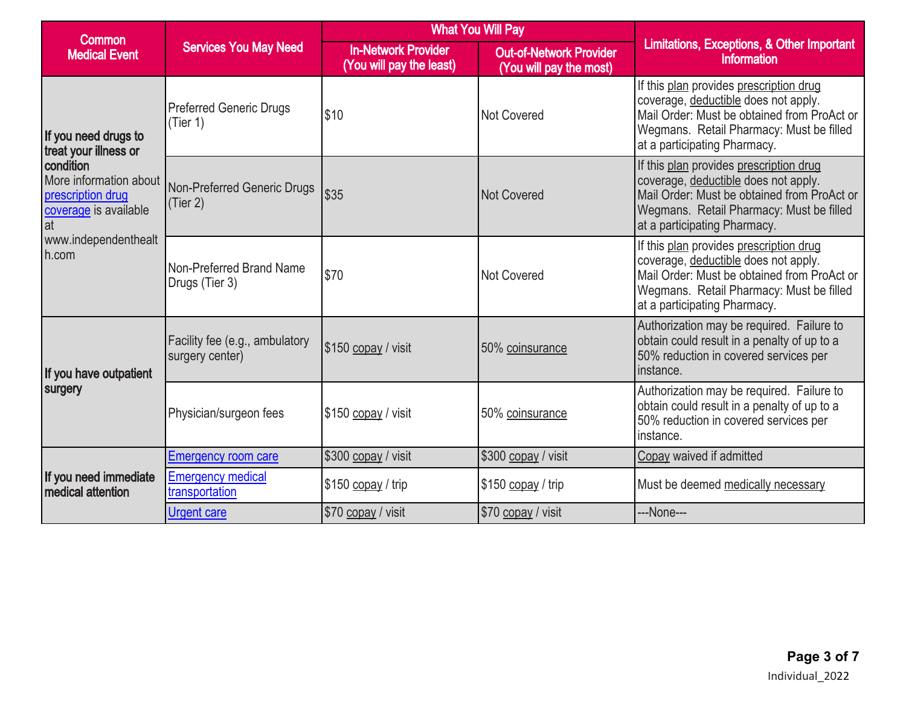| <b>Common</b>                                                                            |                                                   |                                                        | <b>What You Will Pay</b>                                  | Limitations, Exceptions, & Other Important<br>Information                                                                                                                                                  |  |
|------------------------------------------------------------------------------------------|---------------------------------------------------|--------------------------------------------------------|-----------------------------------------------------------|------------------------------------------------------------------------------------------------------------------------------------------------------------------------------------------------------------|--|
| <b>Medical Event</b>                                                                     | <b>Services You May Need</b>                      | <b>In-Network Provider</b><br>(You will pay the least) | <b>Out-of-Network Provider</b><br>(You will pay the most) |                                                                                                                                                                                                            |  |
| If you need drugs to<br>treat your illness or                                            | <b>Preferred Generic Drugs</b><br>(Tier 1)        | \$10                                                   | Not Covered                                               | If this plan provides prescription drug<br>coverage, deductible does not apply.<br>Mail Order: Must be obtained from ProAct or<br>Wegmans. Retail Pharmacy: Must be filled<br>at a participating Pharmacy. |  |
| condition<br>More information about<br>prescription drug<br>coverage is available<br>lat | Non-Preferred Generic Drugs<br>(Tier 2)           | \$35                                                   | <b>Not Covered</b>                                        | If this plan provides prescription drug<br>coverage, deductible does not apply.<br>Mail Order: Must be obtained from ProAct or<br>Wegmans. Retail Pharmacy: Must be filled<br>at a participating Pharmacy. |  |
| www.independenthealt<br>h.com                                                            | Non-Preferred Brand Name<br>Drugs (Tier 3)        | \$70                                                   | <b>Not Covered</b>                                        | If this plan provides prescription drug<br>coverage, deductible does not apply.<br>Mail Order: Must be obtained from ProAct or<br>Wegmans. Retail Pharmacy: Must be filled<br>at a participating Pharmacy. |  |
| If you have outpatient                                                                   | Facility fee (e.g., ambulatory<br>surgery center) | \$150 copay / visit                                    | 50% coinsurance                                           | Authorization may be required. Failure to<br>obtain could result in a penalty of up to a<br>50% reduction in covered services per<br>instance.                                                             |  |
| surgery                                                                                  | Physician/surgeon fees                            | \$150 copay / visit                                    | 50% coinsurance                                           | Authorization may be required. Failure to<br>obtain could result in a penalty of up to a<br>50% reduction in covered services per<br>instance.                                                             |  |
|                                                                                          | <b>Emergency room care</b>                        | \$300 copay / visit                                    | \$300 copay / visit                                       | Copay waived if admitted                                                                                                                                                                                   |  |
| If you need immediate<br><b>I</b> medical attention                                      | <b>Emergency medical</b><br>transportation        | \$150 copay / trip                                     | \$150 copay / trip                                        | Must be deemed medically necessary                                                                                                                                                                         |  |
|                                                                                          | <b>Urgent care</b>                                | \$70 copay / visit                                     | \$70 copay / visit                                        | ---None---                                                                                                                                                                                                 |  |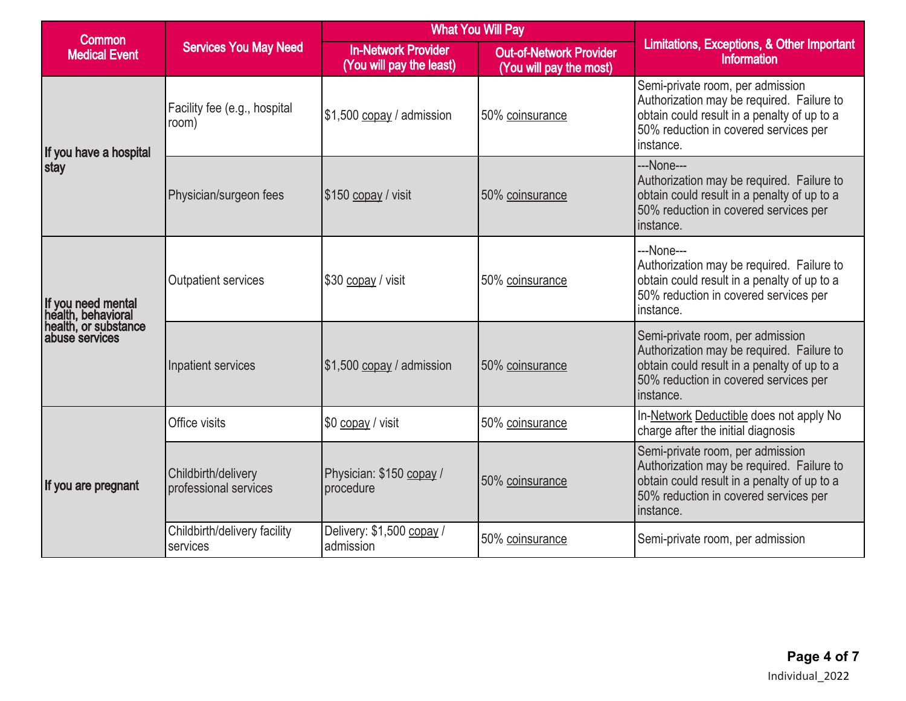| <b>Common</b>                                                                      | <b>Services You May Need</b>                 |                                                        | <b>What You Will Pay</b>                                  |                                                                                                                                                                                    |  |
|------------------------------------------------------------------------------------|----------------------------------------------|--------------------------------------------------------|-----------------------------------------------------------|------------------------------------------------------------------------------------------------------------------------------------------------------------------------------------|--|
| <b>Medical Event</b>                                                               |                                              | <b>In-Network Provider</b><br>(You will pay the least) | <b>Out-of-Network Provider</b><br>(You will pay the most) | Limitations, Exceptions, & Other Important<br>Information                                                                                                                          |  |
| If you have a hospital                                                             | Facility fee (e.g., hospital<br>room)        | \$1,500 copay / admission                              | 50% coinsurance                                           | Semi-private room, per admission<br>Authorization may be required. Failure to<br>obtain could result in a penalty of up to a<br>50% reduction in covered services per<br>instance. |  |
| stay                                                                               | Physician/surgeon fees                       | \$150 copay / visit                                    | 50% coinsurance                                           | ---None---<br>Authorization may be required. Failure to<br>obtain could result in a penalty of up to a<br>50% reduction in covered services per<br>instance.                       |  |
| If you need mental<br>health, behavioral<br>health, or substance<br>abuse services | <b>Outpatient services</b>                   | \$30 copay / visit                                     | 50% coinsurance                                           | ---None---<br>Authorization may be required. Failure to<br>obtain could result in a penalty of up to a<br>50% reduction in covered services per<br>instance.                       |  |
|                                                                                    | Inpatient services                           | $$1,500$ copay / admission                             | 50% coinsurance                                           | Semi-private room, per admission<br>Authorization may be required. Failure to<br>obtain could result in a penalty of up to a<br>50% reduction in covered services per<br>instance. |  |
|                                                                                    | Office visits                                | \$0 copay / visit                                      | 50% coinsurance                                           | In-Network Deductible does not apply No<br>charge after the initial diagnosis                                                                                                      |  |
| If you are pregnant                                                                | Childbirth/delivery<br>professional services | Physician: \$150 copay /<br>procedure                  | 50% coinsurance                                           | Semi-private room, per admission<br>Authorization may be required. Failure to<br>obtain could result in a penalty of up to a<br>50% reduction in covered services per<br>instance. |  |
|                                                                                    | Childbirth/delivery facility<br>services     | Delivery: \$1,500 copay /<br>admission                 | 50% coinsurance                                           | Semi-private room, per admission                                                                                                                                                   |  |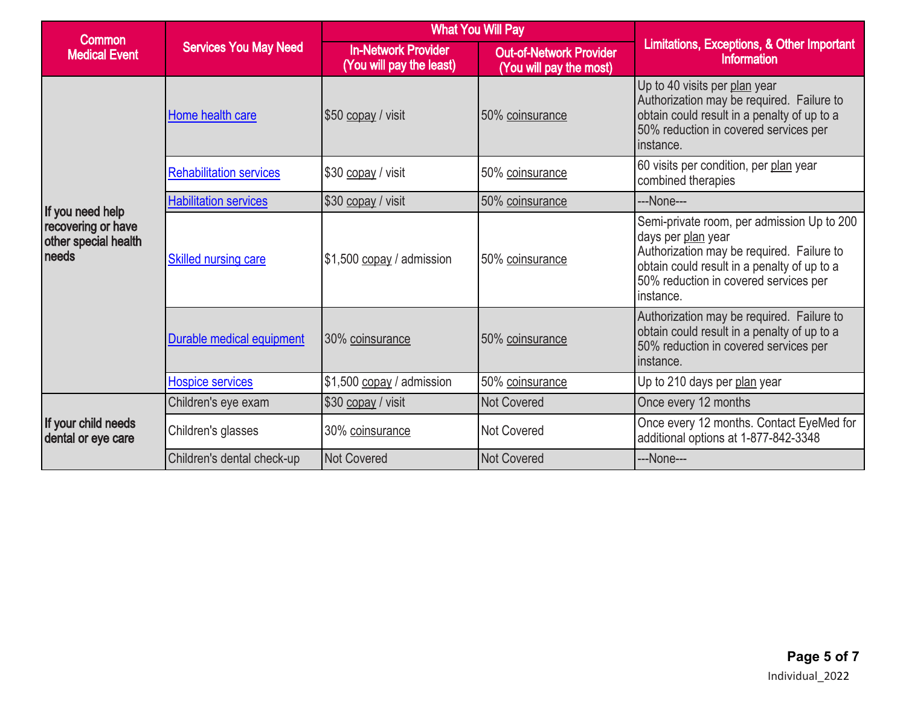| <b>Common</b>                                                           |                                |                                                        | <b>What You Will Pay</b>                                  | Limitations, Exceptions, & Other Important<br>Information                                                                                                                                                          |  |
|-------------------------------------------------------------------------|--------------------------------|--------------------------------------------------------|-----------------------------------------------------------|--------------------------------------------------------------------------------------------------------------------------------------------------------------------------------------------------------------------|--|
| <b>Medical Event</b>                                                    | <b>Services You May Need</b>   | <b>In-Network Provider</b><br>(You will pay the least) | <b>Out-of-Network Provider</b><br>(You will pay the most) |                                                                                                                                                                                                                    |  |
|                                                                         | Home health care               | \$50 copay / visit                                     | 50% coinsurance                                           | Up to 40 visits per plan year<br>Authorization may be required. Failure to<br>obtain could result in a penalty of up to a<br>50% reduction in covered services per<br>instance.                                    |  |
|                                                                         | <b>Rehabilitation services</b> | \$30 copay / visit<br>50% coinsurance                  |                                                           | 60 visits per condition, per plan year<br>combined therapies                                                                                                                                                       |  |
|                                                                         | <b>Habilitation services</b>   | \$30 copay / visit                                     | 50% coinsurance                                           | ---None---                                                                                                                                                                                                         |  |
| If you need help<br>recovering or have<br>other special health<br>needs | <b>Skilled nursing care</b>    | \$1,500 copay / admission                              | 50% coinsurance                                           | Semi-private room, per admission Up to 200<br>days per plan year<br>Authorization may be required. Failure to<br>obtain could result in a penalty of up to a<br>50% reduction in covered services per<br>instance. |  |
|                                                                         | Durable medical equipment      | 30% coinsurance                                        | 50% coinsurance                                           | Authorization may be required. Failure to<br>obtain could result in a penalty of up to a<br>50% reduction in covered services per<br>instance.                                                                     |  |
|                                                                         | <b>Hospice services</b>        | \$1,500 copay / admission                              | 50% coinsurance                                           | Up to 210 days per plan year                                                                                                                                                                                       |  |
|                                                                         | Children's eye exam            | \$30 copay / visit                                     | <b>Not Covered</b>                                        | Once every 12 months                                                                                                                                                                                               |  |
| If your child needs<br>dental or eye care                               | Children's glasses             | 30% coinsurance                                        | Not Covered                                               | Once every 12 months. Contact EyeMed for<br>additional options at 1-877-842-3348                                                                                                                                   |  |
|                                                                         | Children's dental check-up     | Not Covered                                            | <b>Not Covered</b>                                        | ---None---                                                                                                                                                                                                         |  |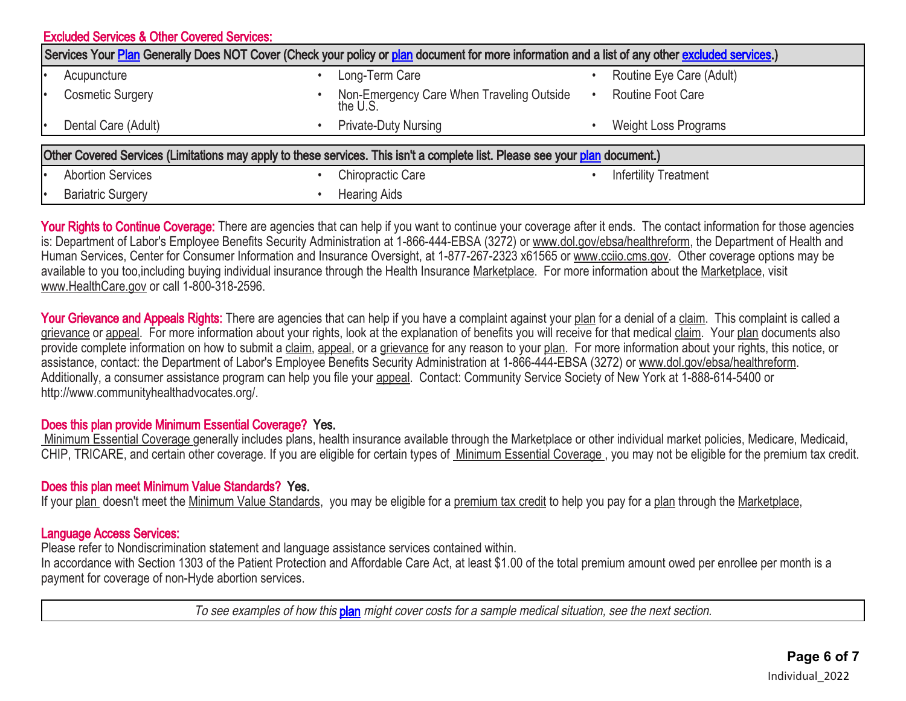|                                                                                                                                                  | <b>Excluded Services &amp; Other Covered Services:</b> |  |                                                       |  |                              |  |  |
|--------------------------------------------------------------------------------------------------------------------------------------------------|--------------------------------------------------------|--|-------------------------------------------------------|--|------------------------------|--|--|
| Services Your Plan Generally Does NOT Cover (Check your policy or plan document for more information and a list of any other excluded services.) |                                                        |  |                                                       |  |                              |  |  |
|                                                                                                                                                  | Acupuncture                                            |  | Long-Term Care                                        |  | Routine Eye Care (Adult)     |  |  |
| I۰                                                                                                                                               | <b>Cosmetic Surgery</b>                                |  | Non-Emergency Care When Traveling Outside<br>the U.S. |  | <b>Routine Foot Care</b>     |  |  |
| I۰                                                                                                                                               | Dental Care (Adult)                                    |  | <b>Private-Duty Nursing</b>                           |  | <b>Weight Loss Programs</b>  |  |  |
| Other Covered Services (Limitations may apply to these services. This isn't a complete list. Please see your plan document.)                     |                                                        |  |                                                       |  |                              |  |  |
|                                                                                                                                                  | <b>Abortion Services</b>                               |  | Chiropractic Care                                     |  | <b>Infertility Treatment</b> |  |  |
|                                                                                                                                                  | <b>Bariatric Surgery</b>                               |  | <b>Hearing Aids</b>                                   |  |                              |  |  |

Your Rights to Continue Coverage: There are agencies that can help if you want to continue your coverage after it ends. The contact information for those agencies is: Department of Labor's Employee Benefits Security Administration at 1-866-444-EBSA (3272) or www.dol.gov/ebsa/healthreform, the Department of Health and Human Services, Center for Consumer Information and Insurance Oversight, at 1-877-267-2323 x61565 or www.cciio.cms.gov. Other coverage options may be available to you too,including buying individual insurance through the Health Insurance Marketplace. For more information about the Marketplace. visit www.HealthCare.gov or call 1-800-318-2596.

Your Grievance and Appeals Rights: There are agencies that can help if you have a complaint against your plan for a denial of a claim. This complaint is called a grievance or appeal. For more information about your rights, look at the explanation of benefits you will receive for that medical claim. Your plan documents also provide complete information on how to submit a claim, appeal, or a grievance for any reason to your plan. For more information about your rights, this notice, or assistance, contact: the Department of Labor's Employee Benefits Security Administration at 1-866-444-EBSA (3272) or www.dol.gov/ebsa/healthreform. Additionally, a consumer assistance program can help you file your appeal. Contact: Community Service Society of New York at 1-888-614-5400 or http://www.communityhealthadvocates.org/.

### Does this plan provide Minimum Essential Coverage? Yes.

Minimum Essential Coverage generally includes plans, health insurance available through the Marketplace or other individual market policies, Medicare, Medicaid, CHIP, TRICARE, and certain other coverage. If you are eligible for certain types of Minimum Essential Coverage , you may not be eligible for the premium tax credit.

### Does this plan meet Minimum Value Standards? Yes.

If your plan doesn't meet the Minimum Value Standards, you may be eligible for a premium tax credit to help you pay for a plan through the Marketplace,

### Language Access Services:

Please refer to Nondiscrimination statement and language assistance services contained within.

In accordance with Section 1303 of the Patient Protection and Affordable Care Act, at least \$1.00 of the total premium amount owed per enrollee per month is a payment for coverage of non-Hyde abortion services.

To see examples of how this **[plan](http://www.healthcare.gov/sbc-glossary/#plan)** might cover costs for a sample medical situation, see the next section.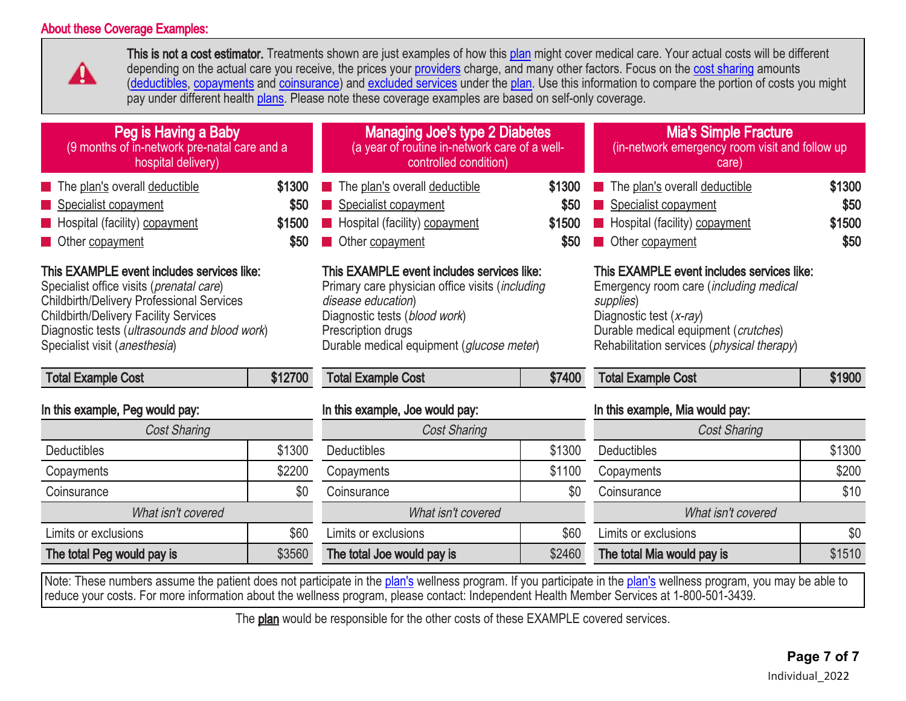# About these Coverage Examples:



This is not a cost estimator. Treatments shown are just examples of how this [plan](http://www.healthcare.gov/sbc-glossary/#plan) might cover medical care. Your actual costs will be different depending on the actual care you receive, the prices your [providers](http://www.healthcare.gov/sbc-glossary/#provider) charge, and many other factors. Focus on the [cost sharing](http://www.healthcare.gov/sbc-glossary/#cost-sharing) amounts [\(deductibles,](http://www.healthcare.gov/sbc-glossary/#deductible) [copayments](http://www.healthcare.gov/sbc-glossary/#copayment) and [coinsurance\)](http://www.healthcare.gov/sbc-glossary/#coinsurance) and [excluded services](http://www.healthcare.gov/sbc-glossary/#excluded-services) under the [plan.](http://www.healthcare.gov/sbc-glossary/#plan) Use this information to compare the portion of costs you might pay under different health [plans](http://www.healthcare.gov/sbc-glossary/#plan). Please note these coverage examples are based on self-only coverage.

| Peg is Having a Baby<br>(9 months of in-network pre-natal care and a<br>hospital delivery)                                                                                                                                                                                            |         | <b>Managing Joe's type 2 Diabetes</b><br>(a year of routine in-network care of a well-<br>controlled condition)                                                                                                         |                         | <b>Mia's Simple Fracture</b><br>(in-network emergency room visit and follow up<br>care)                                                                                                                                             |        |
|---------------------------------------------------------------------------------------------------------------------------------------------------------------------------------------------------------------------------------------------------------------------------------------|---------|-------------------------------------------------------------------------------------------------------------------------------------------------------------------------------------------------------------------------|-------------------------|-------------------------------------------------------------------------------------------------------------------------------------------------------------------------------------------------------------------------------------|--------|
| The plan's overall deductible                                                                                                                                                                                                                                                         | \$1300  | The plan's overall deductible                                                                                                                                                                                           | \$1300                  | The plan's overall deductible                                                                                                                                                                                                       | \$1300 |
| Specialist copayment                                                                                                                                                                                                                                                                  | \$50    | Specialist copayment                                                                                                                                                                                                    | \$50                    | Specialist copayment                                                                                                                                                                                                                | \$50   |
| <b>E</b> Hospital (facility) copayment                                                                                                                                                                                                                                                | \$1500  | Hospital (facility) copayment                                                                                                                                                                                           | \$1500                  | Hospital (facility) copayment                                                                                                                                                                                                       | \$1500 |
| Other copayment                                                                                                                                                                                                                                                                       | \$50    | Other copayment                                                                                                                                                                                                         | \$50<br>Other copayment |                                                                                                                                                                                                                                     | \$50   |
| This EXAMPLE event includes services like:<br>Specialist office visits ( <i>prenatal care</i> )<br><b>Childbirth/Delivery Professional Services</b><br><b>Childbirth/Delivery Facility Services</b><br>Diagnostic tests (ultrasounds and blood work)<br>Specialist visit (anesthesia) |         | This EXAMPLE event includes services like:<br>Primary care physician office visits (including<br>disease education)<br>Diagnostic tests (blood work)<br>Prescription drugs<br>Durable medical equipment (glucose meter) |                         | This EXAMPLE event includes services like:<br>Emergency room care ( <i>including medical</i><br>supplies)<br>Diagnostic test (x-ray)<br>Durable medical equipment (crutches)<br>Rehabilitation services ( <i>physical therapy</i> ) |        |
| <b>Total Example Cost</b>                                                                                                                                                                                                                                                             | \$12700 | <b>Total Example Cost</b>                                                                                                                                                                                               | \$7400                  | <b>Total Example Cost</b>                                                                                                                                                                                                           | \$1900 |
| In this example, Peg would pay:                                                                                                                                                                                                                                                       |         | In this example, Joe would pay:                                                                                                                                                                                         |                         | In this example, Mia would pay:                                                                                                                                                                                                     |        |
| <b>Cost Sharing</b>                                                                                                                                                                                                                                                                   |         | <b>Cost Sharing</b>                                                                                                                                                                                                     |                         | <b>Cost Sharing</b>                                                                                                                                                                                                                 |        |
| <b>Deductibles</b>                                                                                                                                                                                                                                                                    | \$1300  | <b>Deductibles</b>                                                                                                                                                                                                      | \$1300                  | Deductibles                                                                                                                                                                                                                         | \$1300 |
| Copayments                                                                                                                                                                                                                                                                            | \$2200  | Copayments                                                                                                                                                                                                              | \$1100                  | Copayments                                                                                                                                                                                                                          | \$200  |
| Coinsurance                                                                                                                                                                                                                                                                           | \$0     | Coinsurance                                                                                                                                                                                                             | \$0                     | Coinsurance                                                                                                                                                                                                                         | \$10   |
| What isn't covered                                                                                                                                                                                                                                                                    |         | What isn't covered                                                                                                                                                                                                      |                         | What isn't covered                                                                                                                                                                                                                  |        |
| Limits or exclusions                                                                                                                                                                                                                                                                  | \$60    | Limits or exclusions                                                                                                                                                                                                    | \$60                    | Limits or exclusions                                                                                                                                                                                                                | \$0    |
| The total Peg would pay is                                                                                                                                                                                                                                                            | \$3560  | The total Joe would pay is                                                                                                                                                                                              | \$2460                  | The total Mia would pay is                                                                                                                                                                                                          | \$1510 |

Note: These numbers assume the patient does not participate in the [plan's](http://www.healthcare.gov/sbc-glossary/#plan) wellness program. If you participate in the [plan's](http://www.healthcare.gov/sbc-glossary/#plan) wellness program, you may be able to reduce your costs. For more information about the wellness program, please contact: Independent Health Member Services at 1-800-501-3439.

The **plan** would be responsible for the other costs of these EXAMPLE covered services.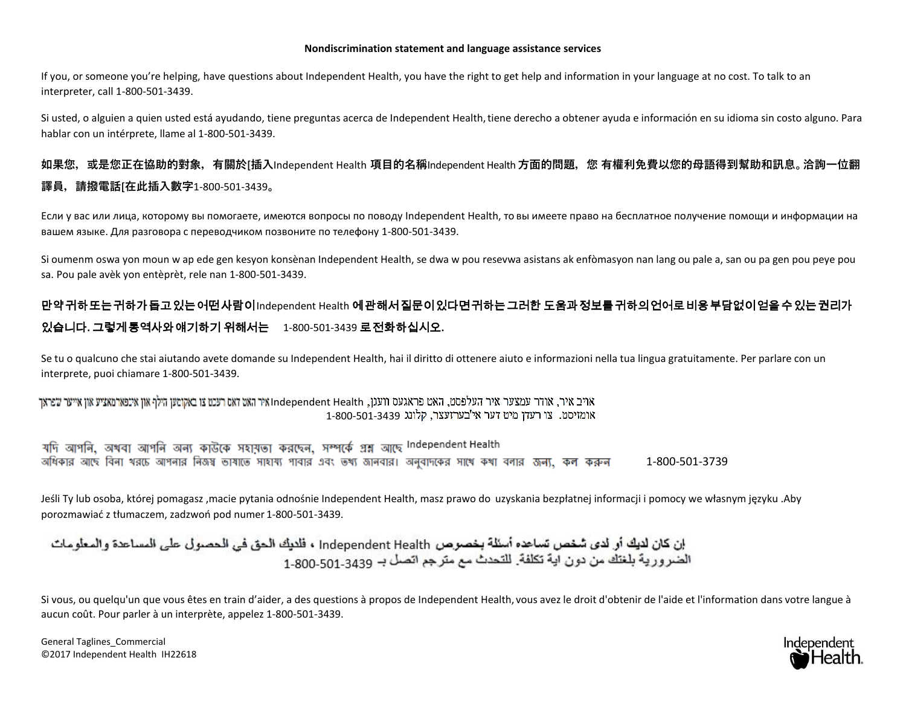#### **Nondiscrimination statement and language assistance services**

If you, or someone you're helping, have questions about Independent Health, you have the right to get help and information in your language at no cost. To talk to an interpreter, call 1-800-501-3439.

Si usted, o alguien a quien usted está ayudando, tiene preguntas acerca de Independent Health,tiene derecho a obtener ayuda e información en su idioma sin costo alguno. Para hablar con un intérprete, llame al 1-800-501-3439.

# **如果您,或是您正在協助的對象,有關於[插入**Independent Health **項目的名稱**Independent Health **方面的問題,您 有權利免費以您的母語得到幫助和訊息。洽詢一位翻 譯員,請撥電話[在此插入數字**1-800-501-3439**。**

Если у вас или лица, которому вы помогаете, имеются вопросы по поводу Independent Health, то вы имеете право на бесплатное получение помощи и информации на вашем языке. Для разговора с переводчиком позвоните по телефону 1-800-501-3439.

Si oumenm oswa yon moun w ap ede gen kesyon konsènan Independent Health, se dwa w pou resevwa asistans ak enfòmasyon nan lang ou pale a, san ou pa gen pou peye pou sa. Pou pale avèk yon entèprèt, rele nan 1-800-501-3439.

# 만약귀하또는귀하가돕고있는어떤사람이Independent Health 에관해서질문이있다면귀하는그러한 도움과정보를귀하의언어로비용부담없이얻을수있는권리가 있습니다**.** 그렇게통역사와얘기하기 위해서는1-800-501-3439 로전화하십시오**.**

Se tu o qualcuno che stai aiutando avete domande su Independent Health, hai il diritto di ottenere aiuto e informazioni nella tua lingua gratuitamente. Per parlare con un interprete, puoi chiamare 1-800-501-3439.

#### ואיר איר, אודר עמצער איר העלפסט, האט פראגעס וועגן, Independent Health איר האט זאט רעכט צו באקוטען הילף און אינפארמאציע און אייער שפראך 1-800-501-3439 אומזיסט. צו רעדו מיט דער אי'בערזעצר, קלונג

যদি আগনি, অখবা আগনি অন্য কাউকে সহায়তা করছেন, সম্পর্কে প্রশ্ন আছে Independent Health অধিকার আছে বিনা থরচে আগনার নিজষ্ব ভাষাতে সাহায্য পাবার এবং ভখ্য জানবার। অনুবাদকের সাথে কখা বলার জন্য, কল করুন 1-800-501-3739

Jeśli Ty lub osoba, której pomagasz ,macie pytania odnośnie Independent Health, masz prawo do uzyskania bezpłatnej informacji i pomocy we własnym języku .Aby porozmawiać z tłumaczem, zadzwoń pod numer 1-800-501-3439.

إن كان لديك أو لدى شخص تساعده أسئلة بخصوص Independent Health ، فلديك الحق في الحصول على المساعدة والمعلومات الصورورية بلغتك من دون اية تكلفة. للتحدث مع مترجع اتصل بـ 501-501-1-800.

Si vous, ou quelqu'un que vous êtes en train d'aider, a des questions à propos de Independent Health, vous avez le droit d'obtenir de l'aide et l'information dans votre langue à aucun coût. Pour parler à un interprète, appelez 1-800-501-3439.

General Taglines\_Commercial ©2017 Independent Health IH22618